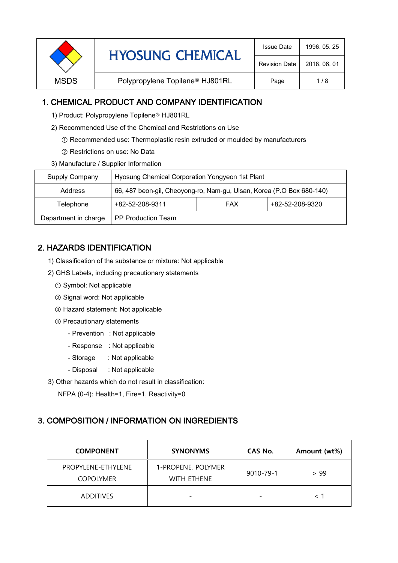|             | <b>HYOSUNG CHEMICAL</b>                     | <b>Issue Date</b>    | 1996, 05, 25 |
|-------------|---------------------------------------------|----------------------|--------------|
|             |                                             | <b>Revision Date</b> | 2018, 06, 01 |
| <b>MSDS</b> | Polypropylene Topilene <sup>®</sup> HJ801RL | Page                 | 1/8          |

## 1. CHEMICAL PRODUCT AND COMPANY IDENTIFICATION

- 1) Product: Polypropylene Topilene<sup>®</sup> HJ801RL
- 2) Recommended Use of the Chemical and Restrictions on Use
	- ① Recommended use: Thermoplastic resin extruded or moulded by manufacturers
	- ② Restrictions on use: No Data
- 3) Manufacture / Supplier Information

| Supply Company       | Hyosung Chemical Corporation Yongyeon 1st Plant                       |            |                 |
|----------------------|-----------------------------------------------------------------------|------------|-----------------|
| Address              | 66, 487 beon-gil, Cheoyong-ro, Nam-gu, Ulsan, Korea (P.O Box 680-140) |            |                 |
| Telephone            | +82-52-208-9311                                                       | <b>FAX</b> | +82-52-208-9320 |
| Department in charge | <b>PP Production Team</b>                                             |            |                 |

# 2. HAZARDS IDENTIFICATION

- 1) Classification of the substance or mixture: Not applicable
- 2) GHS Labels, including precautionary statements
	- ① Symbol: Not applicable
	- ② Signal word: Not applicable
	- ③ Hazard statement: Not applicable
	- ④ Precautionary statements
		- Prevention : Not applicable
		- Response : Not applicable
		- Storage : Not applicable
		- Disposal : Not applicable
- 3) Other hazards which do not result in classification:

NFPA (0-4): Health=1, Fire=1, Reactivity=0

### 3. COMPOSITION / INFORMATION ON INGREDIENTS

| <b>COMPONENT</b>                       | <b>SYNONYMS</b>                          | CAS No.                  | Amount (wt%) |
|----------------------------------------|------------------------------------------|--------------------------|--------------|
| PROPYLENE-ETHYLENE<br><b>COPOLYMER</b> | 1-PROPENE, POLYMER<br><b>WITH FTHENE</b> | 9010-79-1                | > 99         |
| <b>ADDITIVES</b>                       | $\overline{\phantom{0}}$                 | $\overline{\phantom{0}}$ |              |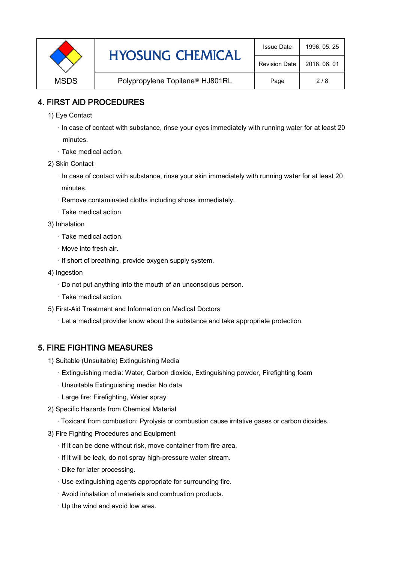|             | <b>HYOSUNG CHEMICAL</b>                     | <b>Issue Date</b>    | 1996, 05, 25 |
|-------------|---------------------------------------------|----------------------|--------------|
|             |                                             | <b>Revision Date</b> | 2018, 06, 01 |
| <b>MSDS</b> | Polypropylene Topilene <sup>®</sup> HJ801RL | Page                 | 2/8          |

### 4. FIRST AID PROCEDURES

- 1) Eye Contact
	- · In case of contact with substance, rinse your eyes immediately with running water for at least 20 minutes.
	- · Take medical action.
- 2) Skin Contact
	- · In case of contact with substance, rinse your skin immediately with running water for at least 20 minutes.
	- · Remove contaminated cloths including shoes immediately.
	- · Take medical action.
- 3) Inhalation
	- · Take medical action.
	- · Move into fresh air.
	- · If short of breathing, provide oxygen supply system.
- 4) Ingestion
	- · Do not put anything into the mouth of an unconscious person.
	- · Take medical action.
- 5) First-Aid Treatment and Information on Medical Doctors
	- · Let a medical provider know about the substance and take appropriate protection.

#### 5. FIRE FIGHTING MEASURES

- 1) Suitable (Unsuitable) Extinguishing Media
	- · Extinguishing media: Water, Carbon dioxide, Extinguishing powder, Firefighting foam
	- · Unsuitable Extinguishing media: No data
	- · Large fire: Firefighting, Water spray
- 2) Specific Hazards from Chemical Material
	- · Toxicant from combustion: Pyrolysis or combustion cause irritative gases or carbon dioxides.
- 3) Fire Fighting Procedures and Equipment
	- · If it can be done without risk, move container from fire area.
	- · If it will be leak, do not spray high-pressure water stream.
	- · Dike for later processing.
	- · Use extinguishing agents appropriate for surrounding fire.
	- · Avoid inhalation of materials and combustion products.
	- · Up the wind and avoid low area.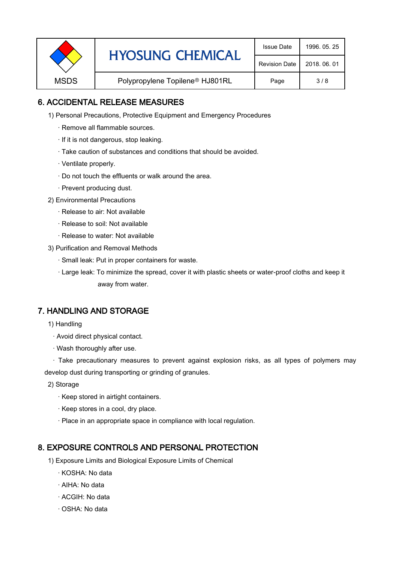|             | <b>HYOSUNG CHEMICAL</b>                     | <b>Issue Date</b>    | 1996, 05, 25 |
|-------------|---------------------------------------------|----------------------|--------------|
|             |                                             | <b>Revision Date</b> | 2018, 06, 01 |
| <b>MSDS</b> | Polypropylene Topilene <sup>®</sup> HJ801RL | Page                 | 3/8          |

## 6. ACCIDENTAL RELEASE MEASURES

- 1) Personal Precautions, Protective Equipment and Emergency Procedures
	- · Remove all flammable sources.
	- · If it is not dangerous, stop leaking.
	- · Take caution of substances and conditions that should be avoided.
	- · Ventilate properly.
	- · Do not touch the effluents or walk around the area.
	- · Prevent producing dust.
- 2) Environmental Precautions
	- · Release to air: Not available
	- · Release to soil: Not available
	- · Release to water: Not available
- 3) Purification and Removal Methods
	- · Small leak: Put in proper containers for waste.
	- ,· Large leak: To minimize the spread, cover it with plastic sheets or water-proof cloths and keep it away from water.

## 7. HANDLING AND STORAGE

- 1) Handling
	- · Avoid direct physical contact.
	- · Wash thoroughly after use.

· Take precautionary measures to prevent against explosion risks, as all types of polymers may develop dust during transporting or grinding of granules.

- 2) Storage
	- · Keep stored in airtight containers.
	- · Keep stores in a cool, dry place.
	- · Place in an appropriate space in compliance with local regulation.

### 8. EXPOSURE CONTROLS AND PERSONAL PROTECTION

- 1) Exposure Limits and Biological Exposure Limits of Chemical
	- · KOSHA: No data
	- · AIHA: No data
	- · ACGIH: No data
	- · OSHA: No data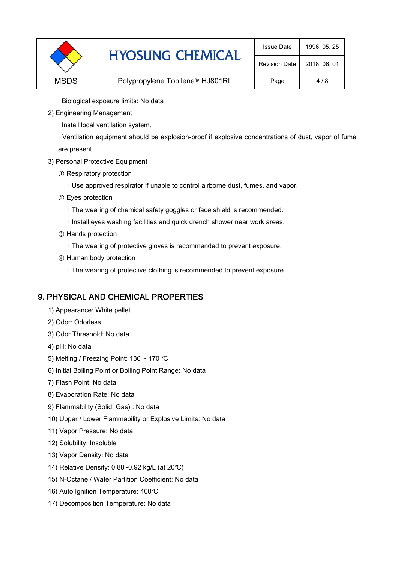| <b>HYOSUNG CHEMICAL</b><br><b>Revision Date</b><br>2018, 06, 01           |  |
|---------------------------------------------------------------------------|--|
| Polypropylene Topilene <sup>®</sup> HJ801RL<br><b>MSDS</b><br>Page<br>4/8 |  |

- · Biological exposure limits: No data
- 2) Engineering Management
	- · Install local ventilation system.

· Ventilation equipment should be explosion-proof if explosive concentrations of dust, vapor of fume are present.

- 3) Personal Protective Equipment
	- ① Respiratory protection
		- · Use approved respirator if unable to control airborne dust, fumes, and vapor.
	- ② Eyes protection
		- · The wearing of chemical safety goggles or face shield is recommended.
		- · Install eyes washing facilities and quick drench shower near work areas.
	- ③ Hands protection
		- · The wearing of protective gloves is recommended to prevent exposure.
	- ④ Human body protection
		- · The wearing of protective clothing is recommended to prevent exposure.

### 9. PHYSICAL AND CHEMICAL PROPERTIES

- 1) Appearance: White pellet
- 2) Odor: Odorless
- 3) Odor Threshold: No data
- 4) pH: No data
- 5) Melting / Freezing Point: 130 ~ 170 ℃
- 6) Initial Boiling Point or Boiling Point Range: No data
- 7) Flash Point: No data
- 8) Evaporation Rate: No data
- 9) Flammability (Solid, Gas) : No data
- 10) Upper / Lower Flammability or Explosive Limits: No data
- 11) Vapor Pressure: No data
- 12) Solubility: Insoluble
- 13) Vapor Density: No data
- 14) Relative Density: 0.88~0.92 kg/L (at 20℃)
- 15) N-Octane / Water Partition Coefficient: No data
- 16) Auto Ignition Temperature: 400℃
- 17) Decomposition Temperature: No data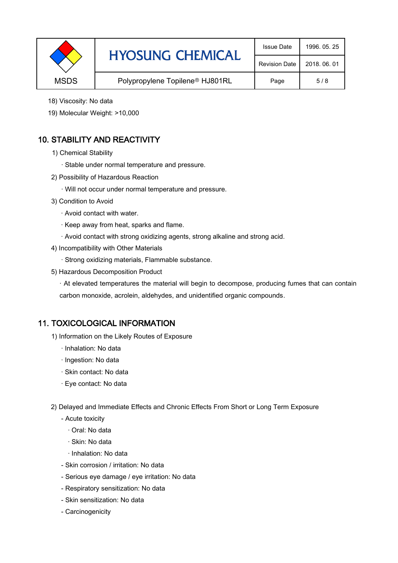|             | <b>HYOSUNG CHEMICAL</b>                     | <b>Issue Date</b>    | 1996, 05, 25 |
|-------------|---------------------------------------------|----------------------|--------------|
|             |                                             | <b>Revision Date</b> | 2018, 06, 01 |
| <b>MSDS</b> | Polypropylene Topilene <sup>®</sup> HJ801RL | Page                 | 5/8          |

- 18) Viscosity: No data
- 19) Molecular Weight: >10,000

# 10. STABILITY AND REACTIVITY

- 1) Chemical Stability
	- · Stable under normal temperature and pressure.
- 2) Possibility of Hazardous Reaction
	- · Will not occur under normal temperature and pressure.
- 3) Condition to Avoid
	- · Avoid contact with water.
	- · Keep away from heat, sparks and flame.
	- · Avoid contact with strong oxidizing agents, strong alkaline and strong acid.
- 4) Incompatibility with Other Materials
	- · Strong oxidizing materials, Flammable substance.
- 5) Hazardous Decomposition Product

· At elevated temperatures the material will begin to decompose, producing fumes that can contain carbon monoxide, acrolein, aldehydes, and unidentified organic compounds.

### 11. TOXICOLOGICAL INFORMATION

- 1) Information on the Likely Routes of Exposure
	- · Inhalation: No data
	- · Ingestion: No data
	- · Skin contact: No data
	- · Eye contact: No data
- 2) Delayed and Immediate Effects and Chronic Effects From Short or Long Term Exposure
	- Acute toxicity
		- · Oral: No data
		- · Skin: No data
		- · Inhalation: No data
	- Skin corrosion / irritation: No data
	- Serious eye damage / eye irritation: No data
	- Respiratory sensitization: No data
	- Skin sensitization: No data
	- Carcinogenicity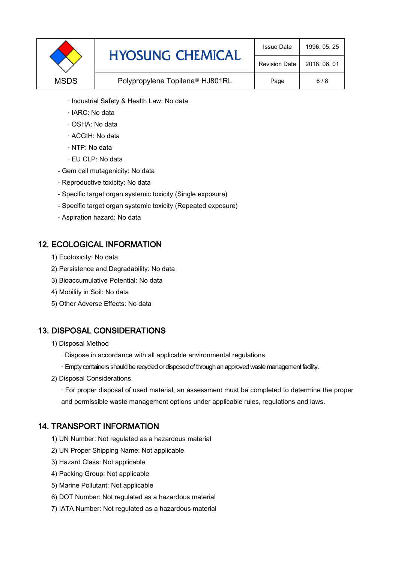|             | <b>HYOSUNG CHEMICAL</b>                     | <b>Issue Date</b>    | 1996, 05, 25 |
|-------------|---------------------------------------------|----------------------|--------------|
|             |                                             | <b>Revision Date</b> | 2018, 06, 01 |
| <b>MSDS</b> | Polypropylene Topilene <sup>®</sup> HJ801RL | Page                 | 6/8          |

- · Industrial Safety & Health Law: No data
- · IARC: No data
- · OSHA: No data
- · ACGIH: No data
- · NTP: No data
- · EU CLP: No data
- Gem cell mutagenicity: No data
- Reproductive toxicity: No data
- Specific target organ systemic toxicity (Single exposure)
- Specific target organ systemic toxicity (Repeated exposure)
- Aspiration hazard: No data

#### 12. ECOLOGICAL INFORMATION

- 1) Ecotoxicity: No data
- 2) Persistence and Degradability: No data
- 3) Bioaccumulative Potential: No data
- 4) Mobility in Soil: No data
- 5) Other Adverse Effects: No data

### 13. DISPOSAL CONSIDERATIONS

- 1) Disposal Method
	- · Dispose in accordance with all applicable environmental regulations.
	- · Empty containers should be recycled or disposed of through an approved waste management facility.
- 2) Disposal Considerations
	- · For proper disposal of used material, an assessment must be completed to determine the proper and permissible waste management options under applicable rules, regulations and laws.

### 14. TRANSPORT INFORMATION

- 1) UN Number: Not regulated as a hazardous material
- 2) UN Proper Shipping Name: Not applicable
- 3) Hazard Class: Not applicable
- 4) Packing Group: Not applicable
- 5) Marine Pollutant: Not applicable
- 6) DOT Number: Not regulated as a hazardous material
- 7) IATA Number: Not regulated as a hazardous material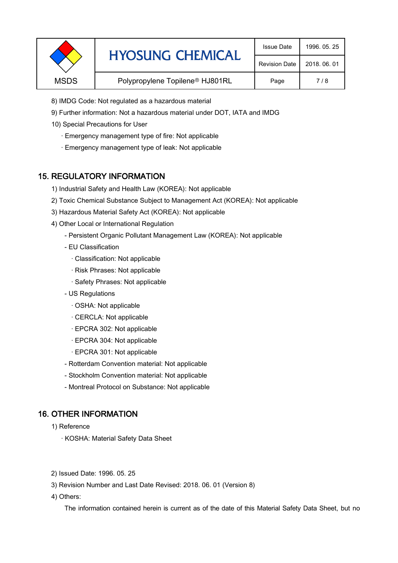|             | <b>HYOSUNG CHEMICAL</b>                     | <b>Issue Date</b>    | 1996, 05, 25 |
|-------------|---------------------------------------------|----------------------|--------------|
|             |                                             | <b>Revision Date</b> | 2018, 06, 01 |
| <b>MSDS</b> | Polypropylene Topilene <sup>®</sup> HJ801RL | Page                 | 7/8          |

- 8) IMDG Code: Not regulated as a hazardous material
- 9) Further information: Not a hazardous material under DOT, IATA and IMDG
- 10) Special Precautions for User
	- · Emergency management type of fire: Not applicable
	- · Emergency management type of leak: Not applicable

#### 15. REGULATORY INFORMATION

- 1) Industrial Safety and Health Law (KOREA): Not applicable
- 2) Toxic Chemical Substance Subject to Management Act (KOREA): Not applicable
- 3) Hazardous Material Safety Act (KOREA): Not applicable
- 4) Other Local or International Regulation
	- Persistent Organic Pollutant Management Law (KOREA): Not applicable
	- EU Classification
		- · Classification: Not applicable
		- · Risk Phrases: Not applicable
		- · Safety Phrases: Not applicable
	- US Regulations
		- · OSHA: Not applicable
		- · CERCLA: Not applicable
		- · EPCRA 302: Not applicable
		- · EPCRA 304: Not applicable
		- · EPCRA 301: Not applicable
	- Rotterdam Convention material: Not applicable
	- Stockholm Convention material: Not applicable
	- Montreal Protocol on Substance: Not applicable

### 16. OTHER INFORMATION

1) Reference

- · KOSHA: Material Safety Data Sheet
- 2) Issued Date: 1996. 05. 25
- 3) Revision Number and Last Date Revised: 2018. 06. 01 (Version 8)
- 4) Others:

The information contained herein is current as of the date of this Material Safety Data Sheet, but no